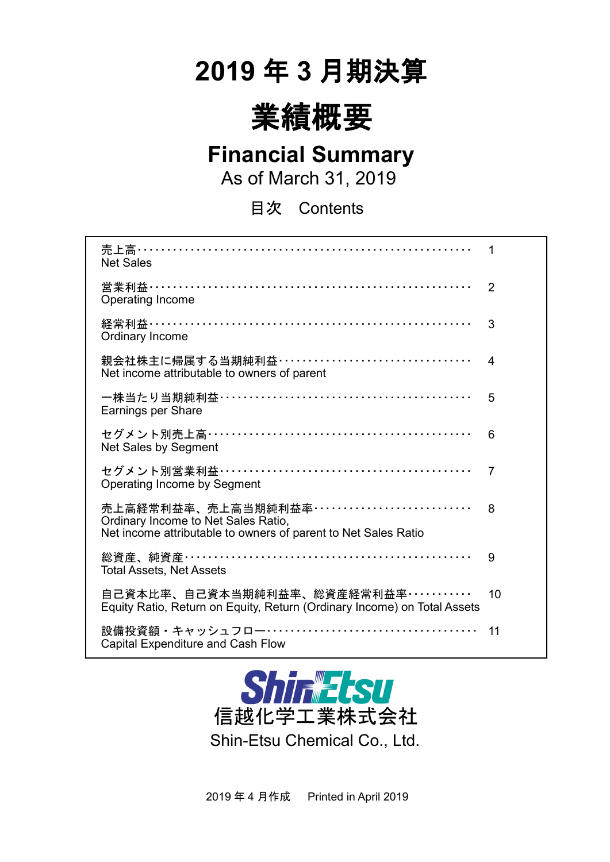# **2019** 年 **3** 月期決算



### **Financial Summary**

As of March 31, 2019

目次 Contents

| 売上高…………………………………………………………<br><b>Net Sales</b>                                                                                          | 1              |
|----------------------------------------------------------------------------------------------------------------------------------------|----------------|
| 営業利益…………………………………………………………<br><b>Operating Income</b>                                                                                  | $\overline{2}$ |
| Ordinary Income                                                                                                                        | 3              |
| 親会社株主に帰属する当期純利益・・・・・・・・・・・・・・・・・・・・・・・・・・・・・・・・・・<br>Net income attributable to owners of parent                                       | 4              |
| Earnings per Share                                                                                                                     | 5              |
| セグメント別売上高……………………………………………<br>Net Sales by Segment                                                                                     | 6              |
| セグメント別営業利益……………………………………………<br>Operating Income by Segment                                                                             | 7              |
| 売上高経常利益率、売上高当期純利益率 …………………………<br>Ordinary Income to Net Sales Ratio,<br>Net income attributable to owners of parent to Net Sales Ratio | 8              |
| 総資産、純資産…………………………………………………<br><b>Total Assets, Net Assets</b>                                                                          | 9              |
| 自己資本比率、自己資本当期純利益率、総資産経常利益率・・・・・・・・・・・<br>Equity Ratio, Return on Equity, Return (Ordinary Income) on Total Assets                      | 10             |
| 設備投資額・キャッシュフロー……………………………………<br><b>Capital Expenditure and Cash Flow</b>                                                               | 11             |



2019 年 4 月作成 Printed in April 2019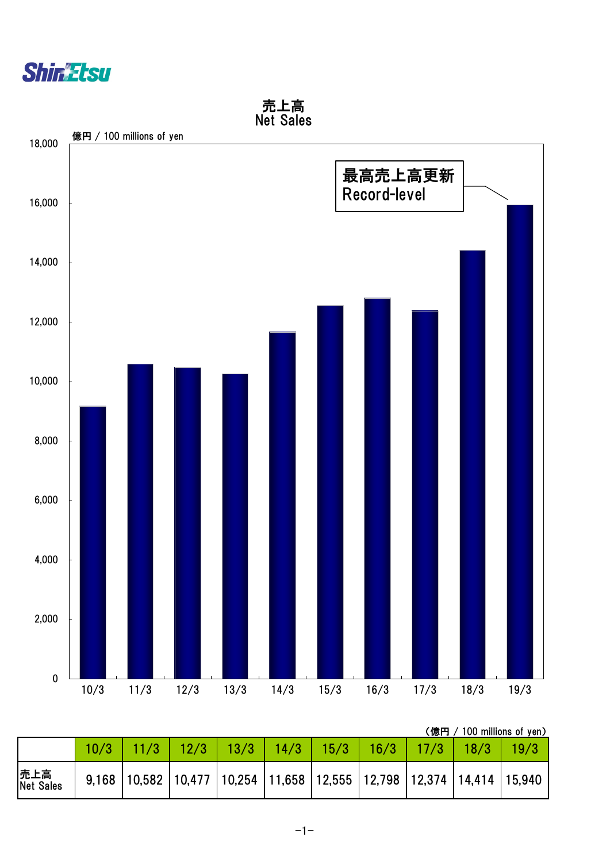



(億円 / 100 millions of yen)

|                   | 10/3 | 11/3 | 12/3                                                                                   | $\sqrt{13/3}$ | 14/3 | 15/3 | 16/3 | \W\\J /<br>$\P/3$ | 18/3 | $100$ $11111101100011$<br>19/3 |
|-------------------|------|------|----------------------------------------------------------------------------------------|---------------|------|------|------|-------------------|------|--------------------------------|
| 売上高<br> Net Sales |      |      | 9,168   10,582   10,477   10,254   11,658   12,555   12,798   12,374   14,414   15,940 |               |      |      |      |                   |      |                                |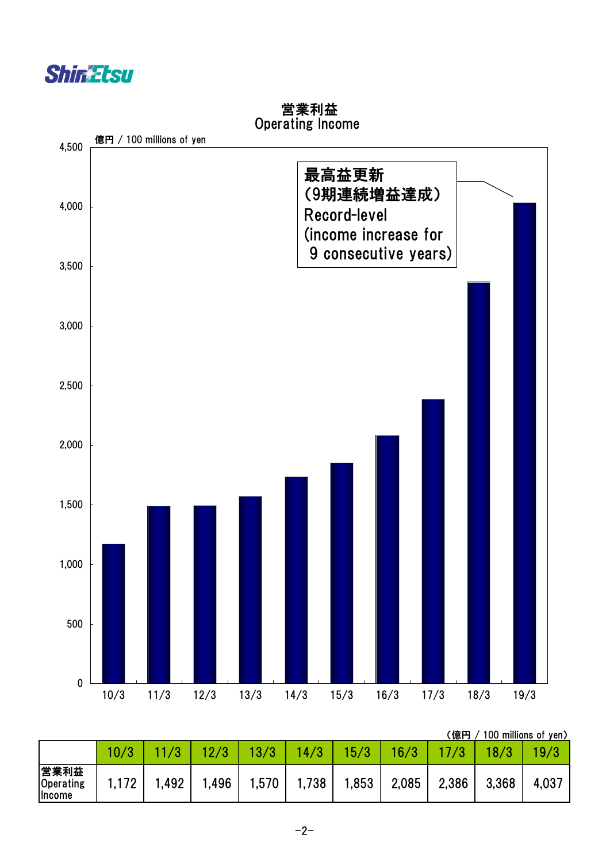



#### 営業利益 Operating Income

(億円 / 100 millions of yen)

|                                     |      |      |      |       |       |       |       | \ Inchi J / |       | <b>TOO THIIIIOHO UL YUITZ</b> |
|-------------------------------------|------|------|------|-------|-------|-------|-------|-------------|-------|-------------------------------|
|                                     |      |      |      |       | 4/3   | 15/3  | 16/3  |             |       | 19/3                          |
| 営業利益<br>Operating<br><b>Ilncome</b> | .172 | ,492 | ,496 | 1,570 | 1,738 | 1,853 | 2,085 | 2,386       | 3,368 | 4,037                         |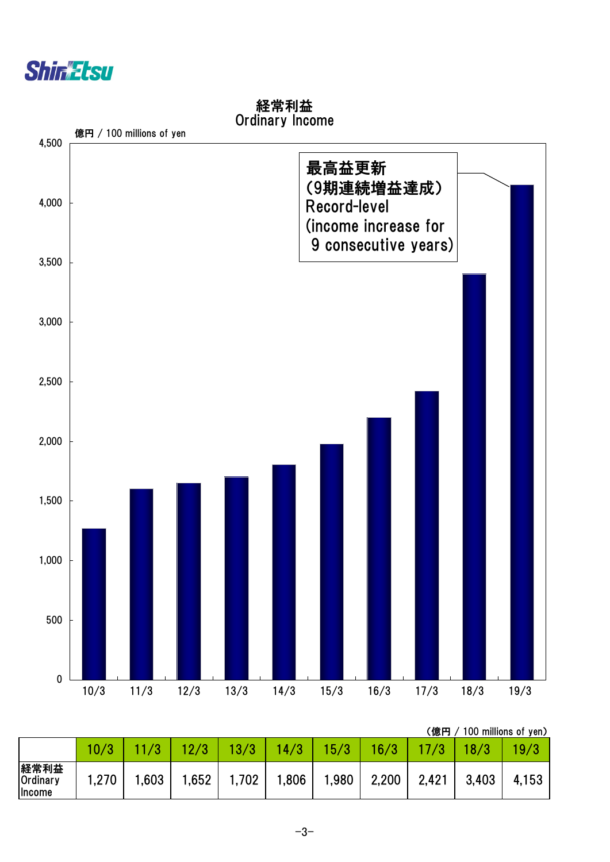



経常利益 Ordinary Income

(億円 / 100 millions of yen)

|                                   |       |      |       |       |       |      |       |       |       | $100$ $11111101100$ $11$ $10117$ |
|-----------------------------------|-------|------|-------|-------|-------|------|-------|-------|-------|----------------------------------|
|                                   |       |      |       |       | 14/3  | 15/3 | 16/3  |       |       |                                  |
| 経常利益<br>Ordinary<br><b>Income</b> | 1,270 | .603 | 1,652 | 1,702 | 0.806 | ,980 | 2,200 | 2,421 | 3,403 | 4,153                            |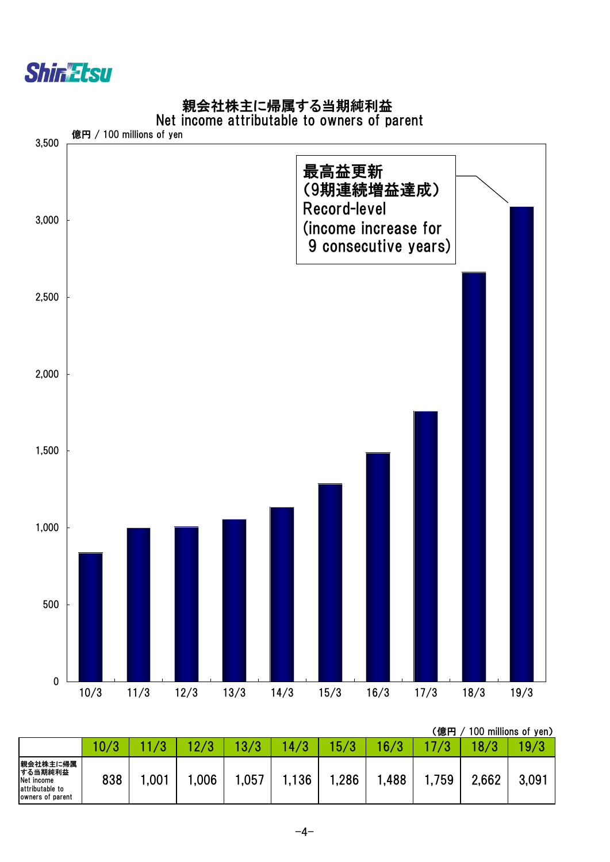

#### 親会社株主に帰属する当期純利益

#### Net income attributable to owners of parent



|                                                                          |      |      |     |      |     |      |      | (億円 |       | 100 millions of yen) |
|--------------------------------------------------------------------------|------|------|-----|------|-----|------|------|-----|-------|----------------------|
|                                                                          | 10/3 |      |     |      | 4/3 | 5/3  | 16/3 |     | 18/3  | 19/3                 |
| 親会社株主に帰属<br>する当期純利益<br>Net income<br>attributable to<br>owners of parent | 838  | ,001 | 006 | ,057 | 136 | ,286 | ,488 | 759 | 2,662 | $3,09^{-}$           |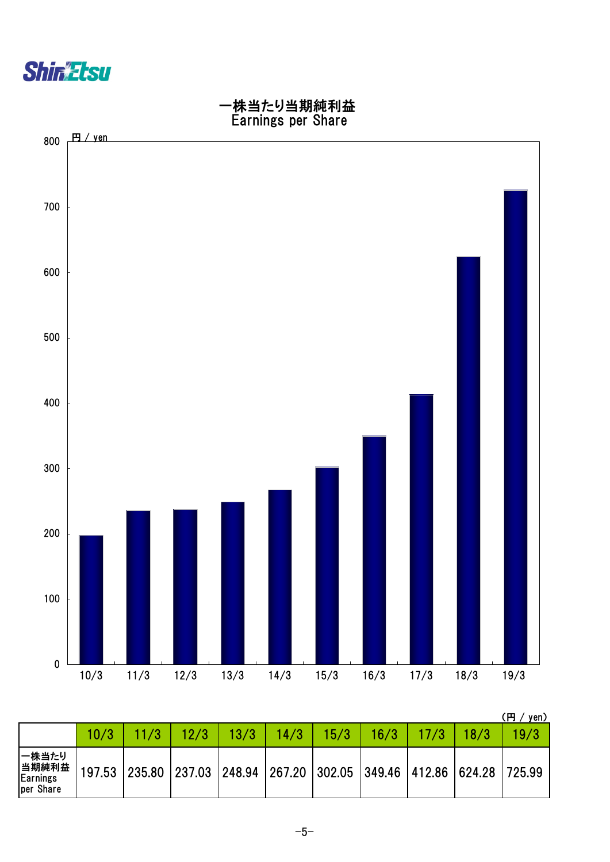



|                                         |        |      |      |                                                                       |      |      |      | 円<br>yen) |
|-----------------------------------------|--------|------|------|-----------------------------------------------------------------------|------|------|------|-----------|
|                                         | 10/3   | 12/3 | 13/3 | 14/3                                                                  | 15/3 | 16/3 | 18/3 | 19/3      |
| 一株当たり<br>当期純利益<br>Earnings<br>per Share | 197.53 |      |      | 235.80   237.03   248.94   267.20   302.05   349.46   412.86   624.28 |      |      |      | 725.99    |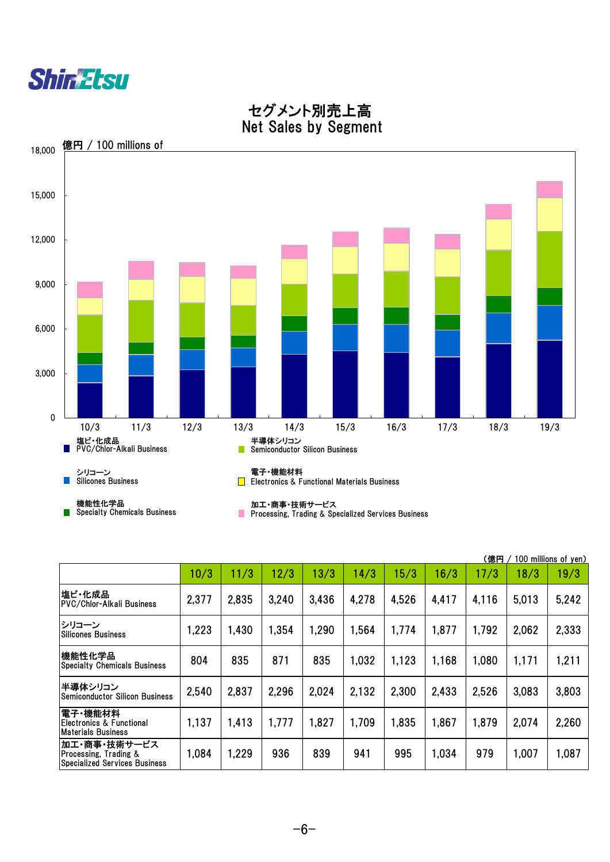



 セグメント別売上高 Net Sales by Segment

|                                                                        |       |       |       |       |       |       |       | (億円   |       | 100 millions of yen) |
|------------------------------------------------------------------------|-------|-------|-------|-------|-------|-------|-------|-------|-------|----------------------|
|                                                                        | 10/3  | 11/3  | 12/3  | 13/3  | 14/3  | 15/3  | 16/3  | 17/3  | 18/3  | 19/3                 |
| 塩ビ・化成品<br> PVC/Chlor-Alkali Business                                   | 2,377 | 2,835 | 3,240 | 3,436 | 4,278 | 4.526 | 4,417 | 4,116 | 5,013 | 5,242                |
| シリコーン<br>Silicones Business                                            | 1,223 | 1,430 | 1,354 | 1,290 | 1,564 | 1,774 | 1,877 | 1,792 | 2,062 | 2,333                |
| 機能性化学品<br><b>Specialty Chemicals Business</b>                          | 804   | 835   | 871   | 835   | 1,032 | 1,123 | 1,168 | 1,080 | 1,171 | 1,211                |
| 半導体シリコン<br>Semiconductor Silicon Business                              | 2,540 | 2,837 | 2,296 | 2,024 | 2,132 | 2,300 | 2,433 | 2,526 | 3,083 | 3,803                |
| 電子・機能材料 <br>IElectronics & Functional<br>lMaterials Business           | 1,137 | 1,413 | 1,777 | 1,827 | 1,709 | 1,835 | 1,867 | 1,879 | 2,074 | 2,260                |
| 加工・商事・技術サービス<br>Processing, Trading &<br>Specialized Services Business | 1,084 | 1,229 | 936   | 839   | 941   | 995   | 1,034 | 979   | 1,007 | 1,087                |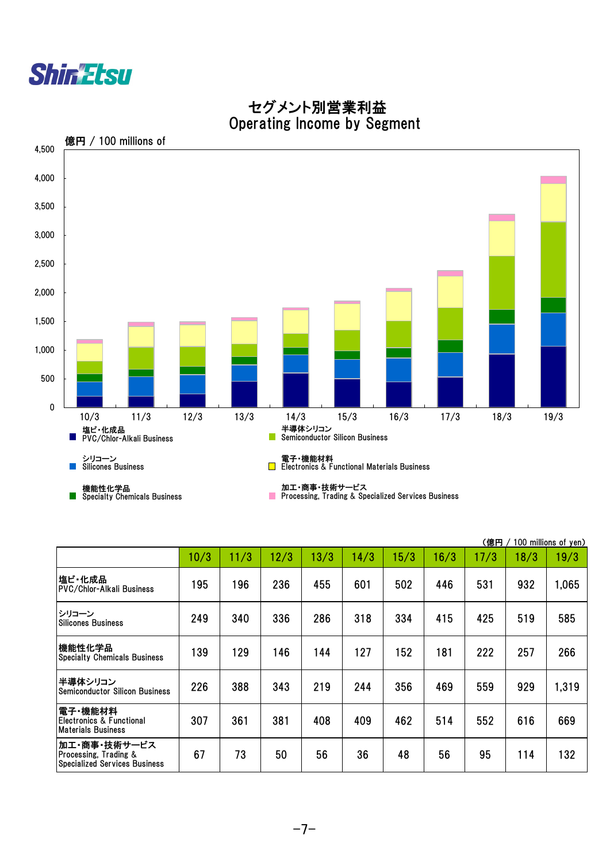



#### セグメント別営業利益 Operating Income by Segment

|                                                                               |      |      |      |      |      |      |      | (億円  |      | 100 millions of yen) |
|-------------------------------------------------------------------------------|------|------|------|------|------|------|------|------|------|----------------------|
|                                                                               | 10/3 | 11/3 | 12/3 | 13/3 | 14/3 | 15/3 | 16/3 | 17/3 | 18/3 | 19/3                 |
| 塩ビ・化成品<br><b>PVC/Chlor-Alkali Business</b>                                    | 195  | 196  | 236  | 455  | 601  | 502  | 446  | 531  | 932  | 1,065                |
| シリコーン<br><b>Silicones Business</b>                                            | 249  | 340  | 336  | 286  | 318  | 334  | 415  | 425  | 519  | 585                  |
| 機能性化学品<br><b>Specialty Chemicals Business</b>                                 | 139  | 129  | 146  | 144  | 127  | 152  | 181  | 222  | 257  | 266                  |
| 半導体シリコン<br><b>Semiconductor Silicon Business</b>                              | 226  | 388  | 343  | 219  | 244  | 356  | 469  | 559  | 929  | 1,319                |
| 電子・機能材料<br> Electronics & Functional<br>Materials Business                    | 307  | 361  | 381  | 408  | 409  | 462  | 514  | 552  | 616  | 669                  |
| 加工・商事・技術サービス<br>Processing, Trading &<br><b>Specialized Services Business</b> | 67   | 73   | 50   | 56   | 36   | 48   | 56   | 95   | 114  | 132                  |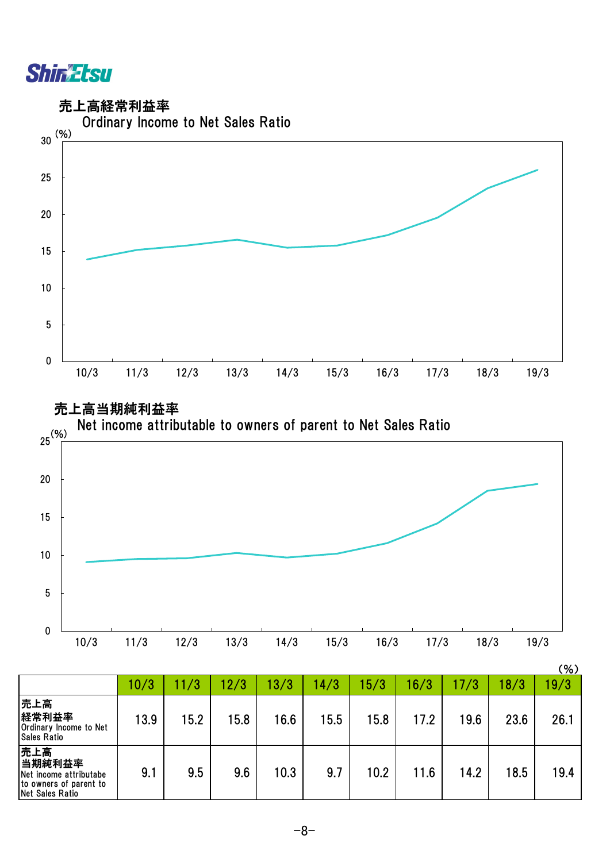

売上高経常利益率





|                                                                                      | 10/3 | 11/3 | 12/3 | 13/3 | 14/3 | 5/3  | 16/3 | 17/3 | 18/3 | 19/3 |
|--------------------------------------------------------------------------------------|------|------|------|------|------|------|------|------|------|------|
| 売上高<br>経常利益率<br>Ordinary Income to Net<br><b>Sales Ratio</b>                         | 13.9 | 15.2 | 15.8 | 16.6 | 15.5 | 15.8 | 17.2 | 19.6 | 23.6 | 26.1 |
| 売上高<br>当期純利益率<br>Net income attributabe<br>to owners of parent to<br>Net Sales Ratio | 9.1  | 9.5  | 9.6  | 10.3 | 9.7  | 10.2 | 11.6 | 14.2 | 18.5 | 19.4 |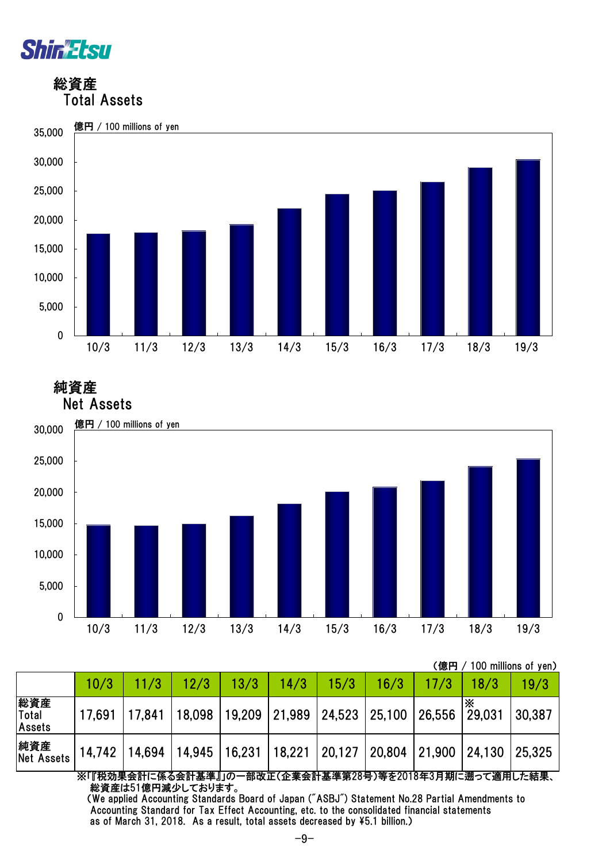

 総資産 Total Assets



 純資産 Net Assets



|                               |        |                      |        |                             |        |               |      | (億円    |             | 100 millions of yen) |
|-------------------------------|--------|----------------------|--------|-----------------------------|--------|---------------|------|--------|-------------|----------------------|
|                               | 10/3   | 11/3                 | 12/3   | 13/3                        | 14/3   | 15/3          | 16/3 | 17/3   | 18/3        | 19/3                 |
| 総資産<br>Total<br><b>Assets</b> | 17,691 | 17,841               | 18,098 | 19,209 21,989 24,523 25,100 |        |               |      | 26,556 | Ж<br>29,031 | 30,387               |
| 純資産<br><b>Net Assets</b>      | 14,742 | 14,694 14,945 16,231 |        |                             | 18,221 | 20,127 20,804 |      | 21,900 | 24,130      | 25,325               |

※「『税効果会計に係る会計基準』」の一部改正(企業会計基準第28号)等を2018年3月期に遡って適用した結果、 総資産は51億円減少しております。

 (We applied Accounting Standards Board of Japan ("ASBJ") Statement No.28 Partial Amendments to Accounting Standard for Tax Effect Accounting, etc. to the consolidated financial statements as of March 31, 2018. As a result, total assets decreased by \5.1 billion.)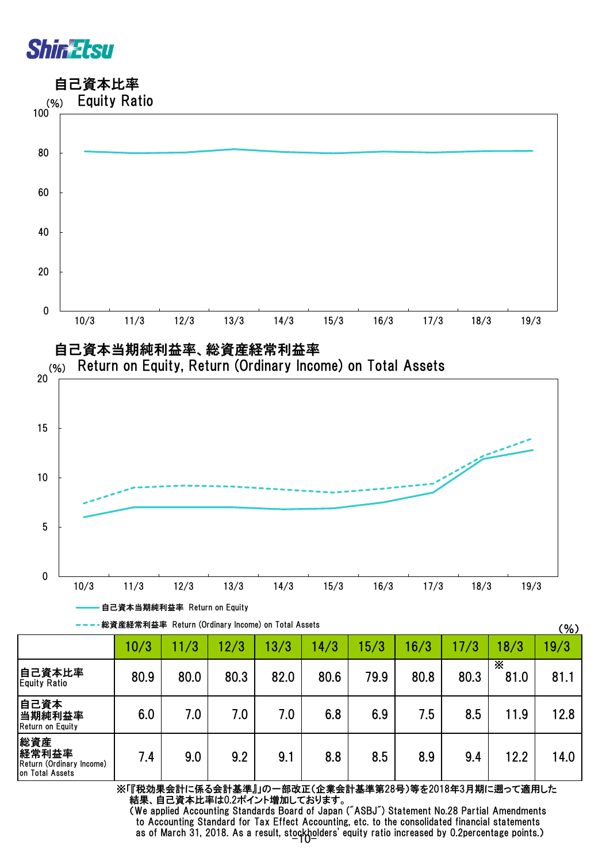## **ShiriEtsu**

自己資本比率



---卷資産経常利益率 Return (Ordinary Income) on Total Assets

|                                                             |      |      |      |      |      |      |      |      |           | <b>100</b> |
|-------------------------------------------------------------|------|------|------|------|------|------|------|------|-----------|------------|
|                                                             | 10/3 | 11/3 | 12/3 | 13/3 | 14/3 | 5/3  | 16/3 | 17/3 | 18/3      | 19/3       |
| 自己資本比率<br><b>Equity Ratio</b>                               | 80.9 | 80.0 | 80.3 | 82.0 | 80.6 | 79.9 | 80.8 | 80.3 | X<br>81.0 | 81.1       |
| 自己資本<br>当期純利益率<br>Return on Equity                          | 6.0  | 7.0  | 7.0  | 7.0  | 6.8  | 6.9  | 7.5  | 8.5  | 11.9      | 12.8       |
| 総資産<br>経常利益率<br>Return (Ordinary Income)<br>on Total Assets | 7.4  | 9.0  | 9.2  | 9.1  | 8.8  | 8.5  | 8.9  | 9.4  | 12.2      | 14.0       |

※「『税効果会計に係る会計基準』」の一部改正(企業会計基準第28号)等を2018年3月期に遡って適用した 結果、自己資本比率は0.2ポイント増加しております。

 $(96)$ 

as of March 31, 2018. As a result, stockholders' equity ratio increased by 0.2percentage points.) (We applied Accounting Standards Board of Japan ("ASBJ") Statement No.28 Partial Amendments to Accounting Standard for Tax Effect Accounting, etc. to the consolidated financial statements